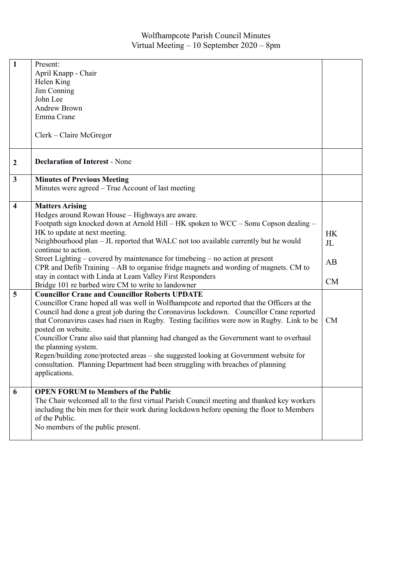| $\mathbf{1}$                 | Present:<br>April Knapp - Chair<br>Helen King<br>Jim Conning<br>John Lee<br><b>Andrew Brown</b><br>Emma Crane                                                                                                                                                                                                                                                                                                                                                                                                                                                                                                                                                                                                                                                                                                                                                                                                                                                                                                                                                                                                                                                                                                                                                                                       |                                               |
|------------------------------|-----------------------------------------------------------------------------------------------------------------------------------------------------------------------------------------------------------------------------------------------------------------------------------------------------------------------------------------------------------------------------------------------------------------------------------------------------------------------------------------------------------------------------------------------------------------------------------------------------------------------------------------------------------------------------------------------------------------------------------------------------------------------------------------------------------------------------------------------------------------------------------------------------------------------------------------------------------------------------------------------------------------------------------------------------------------------------------------------------------------------------------------------------------------------------------------------------------------------------------------------------------------------------------------------------|-----------------------------------------------|
|                              | Clerk – Claire McGregor                                                                                                                                                                                                                                                                                                                                                                                                                                                                                                                                                                                                                                                                                                                                                                                                                                                                                                                                                                                                                                                                                                                                                                                                                                                                             |                                               |
| $\boldsymbol{2}$             | <b>Declaration of Interest - None</b>                                                                                                                                                                                                                                                                                                                                                                                                                                                                                                                                                                                                                                                                                                                                                                                                                                                                                                                                                                                                                                                                                                                                                                                                                                                               |                                               |
| $\mathbf{3}$                 | <b>Minutes of Previous Meeting</b><br>Minutes were agreed - True Account of last meeting                                                                                                                                                                                                                                                                                                                                                                                                                                                                                                                                                                                                                                                                                                                                                                                                                                                                                                                                                                                                                                                                                                                                                                                                            |                                               |
| $\overline{\mathbf{4}}$<br>5 | <b>Matters Arising</b><br>Hedges around Rowan House - Highways are aware.<br>Footpath sign knocked down at Arnold Hill – HK spoken to WCC – Sonu Copson dealing –<br>HK to update at next meeting.<br>Neighbourhood plan - JL reported that WALC not too available currently but he would<br>continue to action.<br>Street Lighting – covered by maintenance for timebeing – no action at present<br>CPR and Defib Training - AB to organise fridge magnets and wording of magnets. CM to<br>stay in contact with Linda at Leam Valley First Responders<br>Bridge 101 re barbed wire CM to write to landowner<br><b>Councillor Crane and Councillor Roberts UPDATE</b><br>Councillor Crane hoped all was well in Wolfhampcote and reported that the Officers at the<br>Council had done a great job during the Coronavirus lockdown. Councillor Crane reported<br>that Coronavirus cases had risen in Rugby. Testing facilities were now in Rugby. Link to be<br>posted on website.<br>Councillor Crane also said that planning had changed as the Government want to overhaul<br>the planning system.<br>Regen/building zone/protected areas - she suggested looking at Government website for<br>consultation. Planning Department had been struggling with breaches of planning<br>applications. | <b>HK</b><br>J <sub>L</sub><br>AB<br>CM<br>CM |
| 6                            | <b>OPEN FORUM to Members of the Public</b><br>The Chair welcomed all to the first virtual Parish Council meeting and thanked key workers<br>including the bin men for their work during lockdown before opening the floor to Members<br>of the Public.<br>No members of the public present.                                                                                                                                                                                                                                                                                                                                                                                                                                                                                                                                                                                                                                                                                                                                                                                                                                                                                                                                                                                                         |                                               |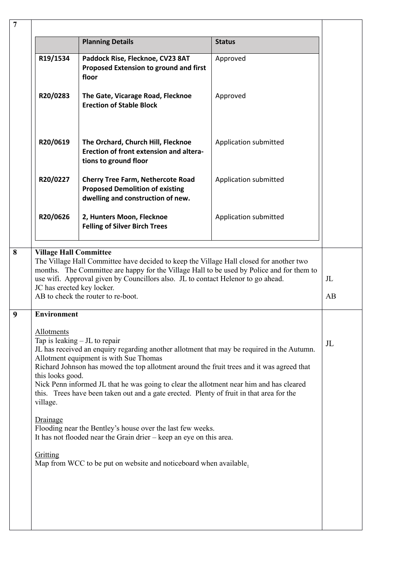|                                            | <b>Planning Details</b>                                                                                                                                                                                                                                                                                                                                                                                                                                     | <b>Status</b>         |             |
|--------------------------------------------|-------------------------------------------------------------------------------------------------------------------------------------------------------------------------------------------------------------------------------------------------------------------------------------------------------------------------------------------------------------------------------------------------------------------------------------------------------------|-----------------------|-------------|
| R19/1534                                   | Paddock Rise, Flecknoe, CV23 8AT<br>Proposed Extension to ground and first<br>floor                                                                                                                                                                                                                                                                                                                                                                         | Approved              |             |
| R20/0283                                   | The Gate, Vicarage Road, Flecknoe<br><b>Erection of Stable Block</b>                                                                                                                                                                                                                                                                                                                                                                                        | Approved              |             |
| R20/0619                                   | The Orchard, Church Hill, Flecknoe<br>Erection of front extension and altera-<br>tions to ground floor                                                                                                                                                                                                                                                                                                                                                      | Application submitted |             |
| R20/0227                                   | <b>Cherry Tree Farm, Nethercote Road</b><br><b>Proposed Demolition of existing</b><br>dwelling and construction of new.                                                                                                                                                                                                                                                                                                                                     | Application submitted |             |
| R20/0626                                   | 2, Hunters Moon, Flecknoe<br><b>Felling of Silver Birch Trees</b>                                                                                                                                                                                                                                                                                                                                                                                           | Application submitted |             |
|                                            | AB to check the router to re-boot.                                                                                                                                                                                                                                                                                                                                                                                                                          |                       | AB          |
| <b>Environment</b>                         |                                                                                                                                                                                                                                                                                                                                                                                                                                                             |                       |             |
| Allotments<br>this looks good.<br>village. | Tap is leaking $-$ JL to repair<br>JL has received an enquiry regarding another allotment that may be required in the Autumn.<br>Allotment equipment is with Sue Thomas<br>Richard Johnson has mowed the top allotment around the fruit trees and it was agreed that<br>Nick Penn informed JL that he was going to clear the allotment near him and has cleared<br>this. Trees have been taken out and a gate erected. Plenty of fruit in that area for the |                       | $J_{\rm L}$ |
| Drainage                                   |                                                                                                                                                                                                                                                                                                                                                                                                                                                             |                       |             |
|                                            | Flooding near the Bentley's house over the last few weeks.<br>It has not flooded near the Grain drier $-$ keep an eye on this area.                                                                                                                                                                                                                                                                                                                         |                       |             |
| Gritting                                   | Map from WCC to be put on website and noticeboard when available.                                                                                                                                                                                                                                                                                                                                                                                           |                       |             |
|                                            |                                                                                                                                                                                                                                                                                                                                                                                                                                                             |                       |             |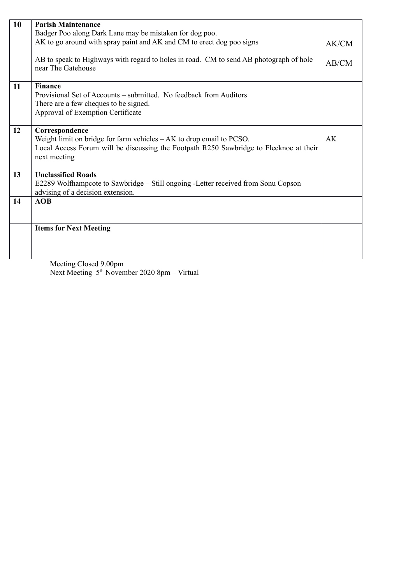|    | <b>Parish Maintenance</b>                                                              |       |
|----|----------------------------------------------------------------------------------------|-------|
| 10 |                                                                                        |       |
|    | Badger Poo along Dark Lane may be mistaken for dog poo.                                |       |
|    | AK to go around with spray paint and AK and CM to erect dog poo signs                  | AK/CM |
|    |                                                                                        |       |
|    | AB to speak to Highways with regard to holes in road. CM to send AB photograph of hole | AB/CM |
|    | near The Gatehouse                                                                     |       |
|    |                                                                                        |       |
| 11 | <b>Finance</b>                                                                         |       |
|    | Provisional Set of Accounts – submitted. No feedback from Auditors                     |       |
|    | There are a few cheques to be signed.                                                  |       |
|    | Approval of Exemption Certificate                                                      |       |
|    |                                                                                        |       |
| 12 | Correspondence                                                                         |       |
|    | Weight limit on bridge for farm vehicles $-AK$ to drop email to PCSO.                  | AK    |
|    | Local Access Forum will be discussing the Footpath R250 Sawbridge to Flecknoe at their |       |
|    | next meeting                                                                           |       |
|    |                                                                                        |       |
| 13 | <b>Unclassified Roads</b>                                                              |       |
|    | E2289 Wolfhampcote to Sawbridge – Still ongoing -Letter received from Sonu Copson      |       |
|    | advising of a decision extension.                                                      |       |
| 14 | <b>AOB</b>                                                                             |       |
|    |                                                                                        |       |
|    |                                                                                        |       |
|    | <b>Items for Next Meeting</b>                                                          |       |
|    |                                                                                        |       |
|    |                                                                                        |       |
|    |                                                                                        |       |
|    | $M_{\odot}$ $\sim$ $\sim$ $\sim$ $1000$                                                |       |

Meeting Closed 9.00pm Next Meeting 5<sup>th</sup> November 2020 8pm – Virtual